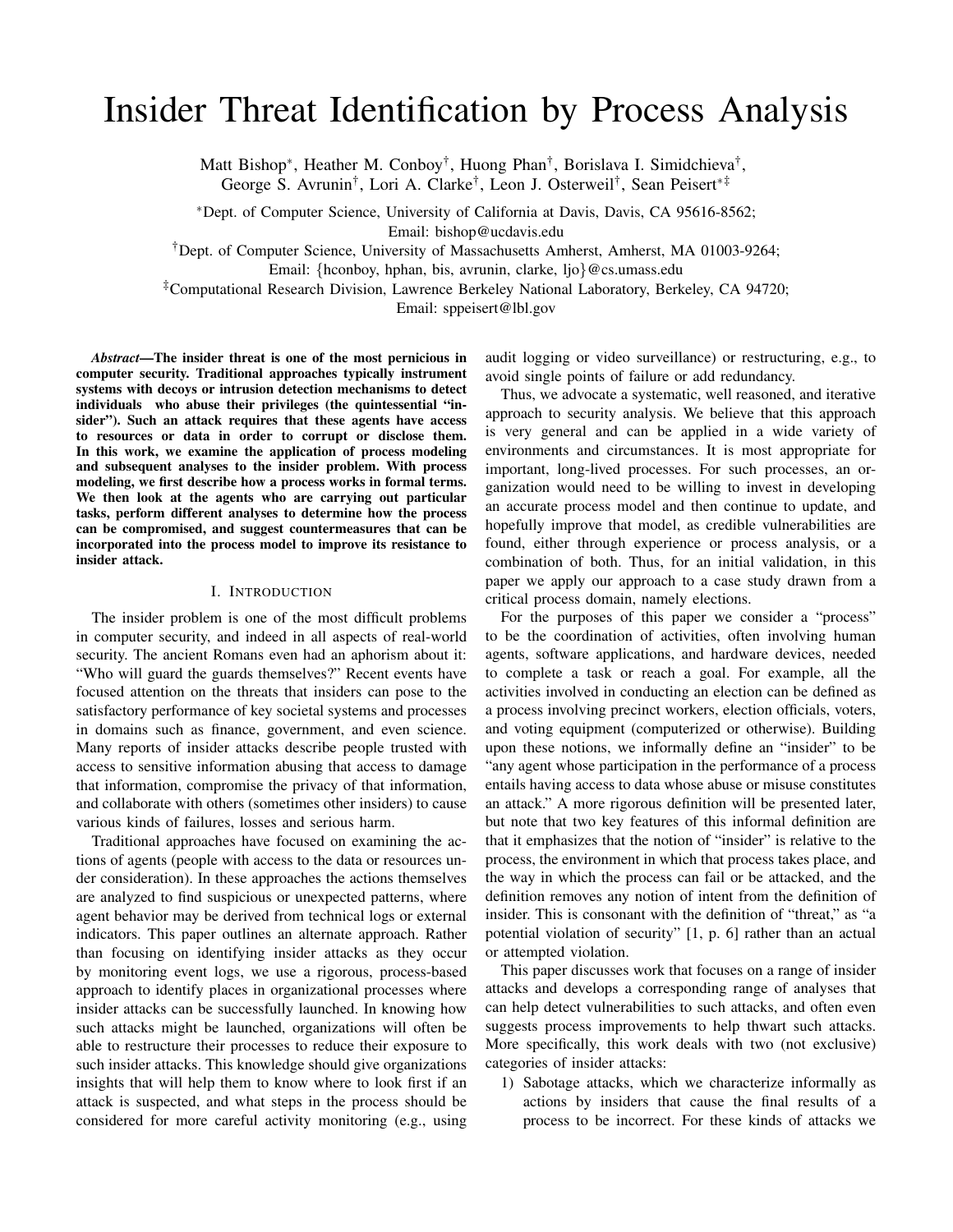# Insider Threat Identification by Process Analysis

Matt Bishop<sup>∗</sup> , Heather M. Conboy† , Huong Phan† , Borislava I. Simidchieva† , George S. Avrunin† , Lori A. Clarke† , Leon J. Osterweil† , Sean Peisert∗‡

<sup>∗</sup>Dept. of Computer Science, University of California at Davis, Davis, CA 95616-8562; Email: bishop@ucdavis.edu

†Dept. of Computer Science, University of Massachusetts Amherst, Amherst, MA 01003-9264;

Email: {hconboy, hphan, bis, avrunin, clarke, ljo}@cs.umass.edu

‡Computational Research Division, Lawrence Berkeley National Laboratory, Berkeley, CA 94720;

Email: sppeisert@lbl.gov

*Abstract*—The insider threat is one of the most pernicious in computer security. Traditional approaches typically instrument systems with decoys or intrusion detection mechanisms to detect individuals who abuse their privileges (the quintessential "insider"). Such an attack requires that these agents have access to resources or data in order to corrupt or disclose them. In this work, we examine the application of process modeling and subsequent analyses to the insider problem. With process modeling, we first describe how a process works in formal terms. We then look at the agents who are carrying out particular tasks, perform different analyses to determine how the process can be compromised, and suggest countermeasures that can be incorporated into the process model to improve its resistance to insider attack.

## I. INTRODUCTION

The insider problem is one of the most difficult problems in computer security, and indeed in all aspects of real-world security. The ancient Romans even had an aphorism about it: "Who will guard the guards themselves?" Recent events have focused attention on the threats that insiders can pose to the satisfactory performance of key societal systems and processes in domains such as finance, government, and even science. Many reports of insider attacks describe people trusted with access to sensitive information abusing that access to damage that information, compromise the privacy of that information, and collaborate with others (sometimes other insiders) to cause various kinds of failures, losses and serious harm.

Traditional approaches have focused on examining the actions of agents (people with access to the data or resources under consideration). In these approaches the actions themselves are analyzed to find suspicious or unexpected patterns, where agent behavior may be derived from technical logs or external indicators. This paper outlines an alternate approach. Rather than focusing on identifying insider attacks as they occur by monitoring event logs, we use a rigorous, process-based approach to identify places in organizational processes where insider attacks can be successfully launched. In knowing how such attacks might be launched, organizations will often be able to restructure their processes to reduce their exposure to such insider attacks. This knowledge should give organizations insights that will help them to know where to look first if an attack is suspected, and what steps in the process should be considered for more careful activity monitoring (e.g., using

audit logging or video surveillance) or restructuring, e.g., to avoid single points of failure or add redundancy.

Thus, we advocate a systematic, well reasoned, and iterative approach to security analysis. We believe that this approach is very general and can be applied in a wide variety of environments and circumstances. It is most appropriate for important, long-lived processes. For such processes, an organization would need to be willing to invest in developing an accurate process model and then continue to update, and hopefully improve that model, as credible vulnerabilities are found, either through experience or process analysis, or a combination of both. Thus, for an initial validation, in this paper we apply our approach to a case study drawn from a critical process domain, namely elections.

For the purposes of this paper we consider a "process" to be the coordination of activities, often involving human agents, software applications, and hardware devices, needed to complete a task or reach a goal. For example, all the activities involved in conducting an election can be defined as a process involving precinct workers, election officials, voters, and voting equipment (computerized or otherwise). Building upon these notions, we informally define an "insider" to be "any agent whose participation in the performance of a process entails having access to data whose abuse or misuse constitutes an attack." A more rigorous definition will be presented later, but note that two key features of this informal definition are that it emphasizes that the notion of "insider" is relative to the process, the environment in which that process takes place, and the way in which the process can fail or be attacked, and the definition removes any notion of intent from the definition of insider. This is consonant with the definition of "threat," as "a potential violation of security" [1, p. 6] rather than an actual or attempted violation.

This paper discusses work that focuses on a range of insider attacks and develops a corresponding range of analyses that can help detect vulnerabilities to such attacks, and often even suggests process improvements to help thwart such attacks. More specifically, this work deals with two (not exclusive) categories of insider attacks:

1) Sabotage attacks, which we characterize informally as actions by insiders that cause the final results of a process to be incorrect. For these kinds of attacks we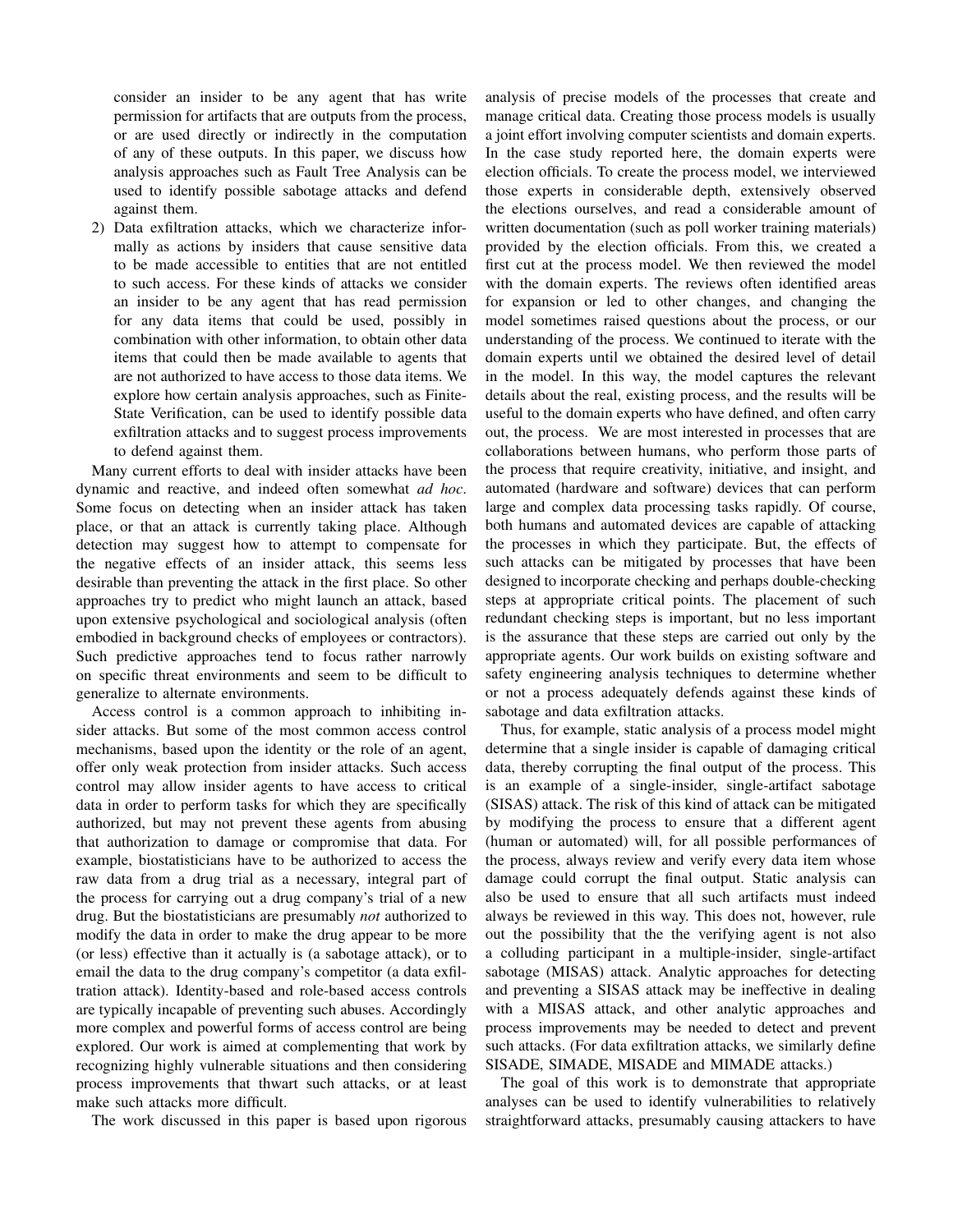consider an insider to be any agent that has write permission for artifacts that are outputs from the process, or are used directly or indirectly in the computation of any of these outputs. In this paper, we discuss how analysis approaches such as Fault Tree Analysis can be used to identify possible sabotage attacks and defend against them.

2) Data exfiltration attacks, which we characterize informally as actions by insiders that cause sensitive data to be made accessible to entities that are not entitled to such access. For these kinds of attacks we consider an insider to be any agent that has read permission for any data items that could be used, possibly in combination with other information, to obtain other data items that could then be made available to agents that are not authorized to have access to those data items. We explore how certain analysis approaches, such as Finite-State Verification, can be used to identify possible data exfiltration attacks and to suggest process improvements to defend against them.

Many current efforts to deal with insider attacks have been dynamic and reactive, and indeed often somewhat *ad hoc*. Some focus on detecting when an insider attack has taken place, or that an attack is currently taking place. Although detection may suggest how to attempt to compensate for the negative effects of an insider attack, this seems less desirable than preventing the attack in the first place. So other approaches try to predict who might launch an attack, based upon extensive psychological and sociological analysis (often embodied in background checks of employees or contractors). Such predictive approaches tend to focus rather narrowly on specific threat environments and seem to be difficult to generalize to alternate environments.

Access control is a common approach to inhibiting insider attacks. But some of the most common access control mechanisms, based upon the identity or the role of an agent, offer only weak protection from insider attacks. Such access control may allow insider agents to have access to critical data in order to perform tasks for which they are specifically authorized, but may not prevent these agents from abusing that authorization to damage or compromise that data. For example, biostatisticians have to be authorized to access the raw data from a drug trial as a necessary, integral part of the process for carrying out a drug company's trial of a new drug. But the biostatisticians are presumably *not* authorized to modify the data in order to make the drug appear to be more (or less) effective than it actually is (a sabotage attack), or to email the data to the drug company's competitor (a data exfiltration attack). Identity-based and role-based access controls are typically incapable of preventing such abuses. Accordingly more complex and powerful forms of access control are being explored. Our work is aimed at complementing that work by recognizing highly vulnerable situations and then considering process improvements that thwart such attacks, or at least make such attacks more difficult.

The work discussed in this paper is based upon rigorous

analysis of precise models of the processes that create and manage critical data. Creating those process models is usually a joint effort involving computer scientists and domain experts. In the case study reported here, the domain experts were election officials. To create the process model, we interviewed those experts in considerable depth, extensively observed the elections ourselves, and read a considerable amount of written documentation (such as poll worker training materials) provided by the election officials. From this, we created a first cut at the process model. We then reviewed the model with the domain experts. The reviews often identified areas for expansion or led to other changes, and changing the model sometimes raised questions about the process, or our understanding of the process. We continued to iterate with the domain experts until we obtained the desired level of detail in the model. In this way, the model captures the relevant details about the real, existing process, and the results will be useful to the domain experts who have defined, and often carry out, the process. We are most interested in processes that are collaborations between humans, who perform those parts of the process that require creativity, initiative, and insight, and automated (hardware and software) devices that can perform large and complex data processing tasks rapidly. Of course, both humans and automated devices are capable of attacking the processes in which they participate. But, the effects of such attacks can be mitigated by processes that have been designed to incorporate checking and perhaps double-checking steps at appropriate critical points. The placement of such redundant checking steps is important, but no less important is the assurance that these steps are carried out only by the appropriate agents. Our work builds on existing software and safety engineering analysis techniques to determine whether or not a process adequately defends against these kinds of sabotage and data exfiltration attacks.

Thus, for example, static analysis of a process model might determine that a single insider is capable of damaging critical data, thereby corrupting the final output of the process. This is an example of a single-insider, single-artifact sabotage (SISAS) attack. The risk of this kind of attack can be mitigated by modifying the process to ensure that a different agent (human or automated) will, for all possible performances of the process, always review and verify every data item whose damage could corrupt the final output. Static analysis can also be used to ensure that all such artifacts must indeed always be reviewed in this way. This does not, however, rule out the possibility that the the verifying agent is not also a colluding participant in a multiple-insider, single-artifact sabotage (MISAS) attack. Analytic approaches for detecting and preventing a SISAS attack may be ineffective in dealing with a MISAS attack, and other analytic approaches and process improvements may be needed to detect and prevent such attacks. (For data exfiltration attacks, we similarly define SISADE, SIMADE, MISADE and MIMADE attacks.)

The goal of this work is to demonstrate that appropriate analyses can be used to identify vulnerabilities to relatively straightforward attacks, presumably causing attackers to have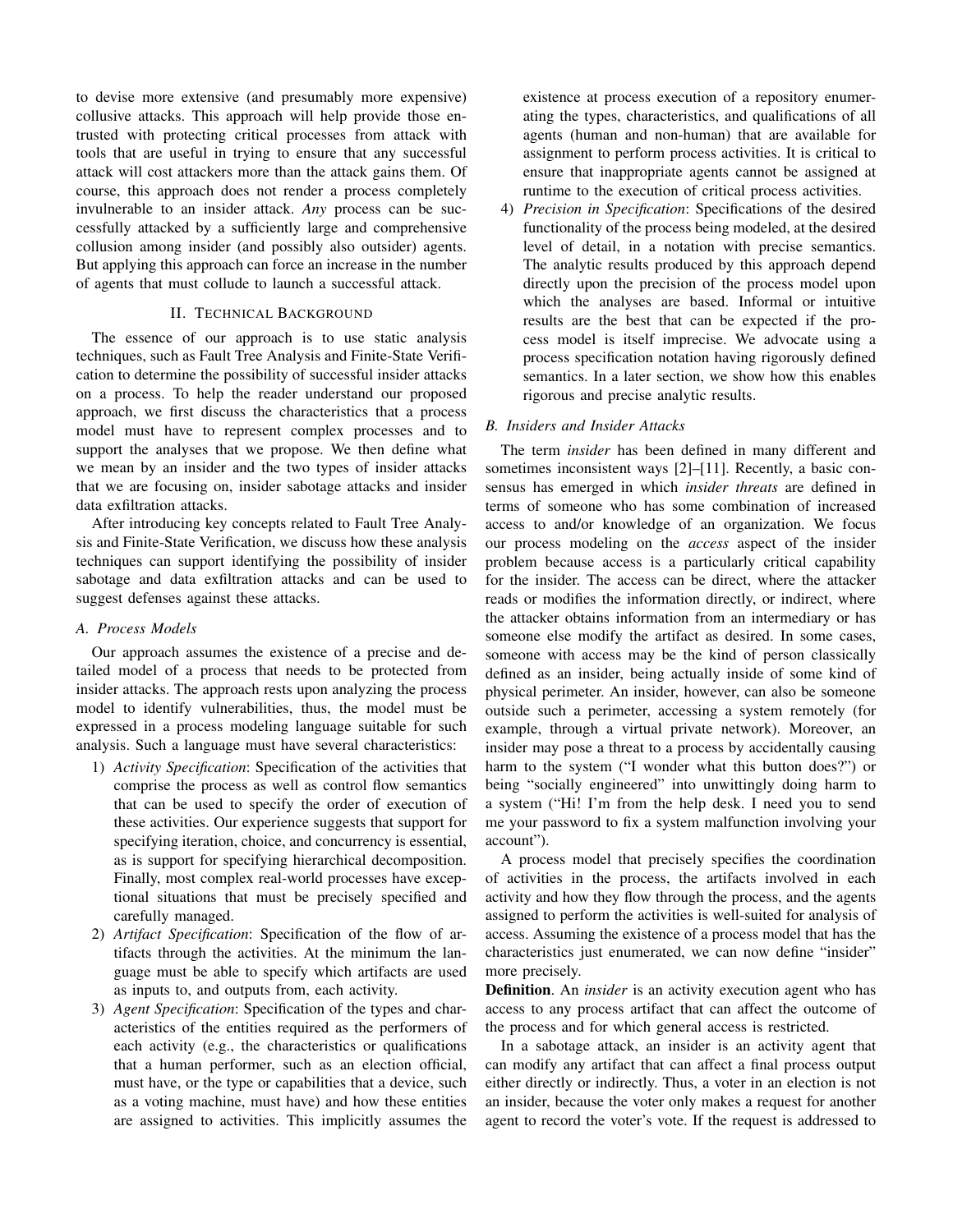to devise more extensive (and presumably more expensive) collusive attacks. This approach will help provide those entrusted with protecting critical processes from attack with tools that are useful in trying to ensure that any successful attack will cost attackers more than the attack gains them. Of course, this approach does not render a process completely invulnerable to an insider attack. *Any* process can be successfully attacked by a sufficiently large and comprehensive collusion among insider (and possibly also outsider) agents. But applying this approach can force an increase in the number of agents that must collude to launch a successful attack.

## II. TECHNICAL BACKGROUND

The essence of our approach is to use static analysis techniques, such as Fault Tree Analysis and Finite-State Verification to determine the possibility of successful insider attacks on a process. To help the reader understand our proposed approach, we first discuss the characteristics that a process model must have to represent complex processes and to support the analyses that we propose. We then define what we mean by an insider and the two types of insider attacks that we are focusing on, insider sabotage attacks and insider data exfiltration attacks.

After introducing key concepts related to Fault Tree Analysis and Finite-State Verification, we discuss how these analysis techniques can support identifying the possibility of insider sabotage and data exfiltration attacks and can be used to suggest defenses against these attacks.

# *A. Process Models*

Our approach assumes the existence of a precise and detailed model of a process that needs to be protected from insider attacks. The approach rests upon analyzing the process model to identify vulnerabilities, thus, the model must be expressed in a process modeling language suitable for such analysis. Such a language must have several characteristics:

- 1) *Activity Specification*: Specification of the activities that comprise the process as well as control flow semantics that can be used to specify the order of execution of these activities. Our experience suggests that support for specifying iteration, choice, and concurrency is essential, as is support for specifying hierarchical decomposition. Finally, most complex real-world processes have exceptional situations that must be precisely specified and carefully managed.
- 2) *Artifact Specification*: Specification of the flow of artifacts through the activities. At the minimum the language must be able to specify which artifacts are used as inputs to, and outputs from, each activity.
- 3) *Agent Specification*: Specification of the types and characteristics of the entities required as the performers of each activity (e.g., the characteristics or qualifications that a human performer, such as an election official, must have, or the type or capabilities that a device, such as a voting machine, must have) and how these entities are assigned to activities. This implicitly assumes the

existence at process execution of a repository enumerating the types, characteristics, and qualifications of all agents (human and non-human) that are available for assignment to perform process activities. It is critical to ensure that inappropriate agents cannot be assigned at runtime to the execution of critical process activities.

4) *Precision in Specification*: Specifications of the desired functionality of the process being modeled, at the desired level of detail, in a notation with precise semantics. The analytic results produced by this approach depend directly upon the precision of the process model upon which the analyses are based. Informal or intuitive results are the best that can be expected if the process model is itself imprecise. We advocate using a process specification notation having rigorously defined semantics. In a later section, we show how this enables rigorous and precise analytic results.

## *B. Insiders and Insider Attacks*

The term *insider* has been defined in many different and sometimes inconsistent ways [2]–[11]. Recently, a basic consensus has emerged in which *insider threats* are defined in terms of someone who has some combination of increased access to and/or knowledge of an organization. We focus our process modeling on the *access* aspect of the insider problem because access is a particularly critical capability for the insider. The access can be direct, where the attacker reads or modifies the information directly, or indirect, where the attacker obtains information from an intermediary or has someone else modify the artifact as desired. In some cases, someone with access may be the kind of person classically defined as an insider, being actually inside of some kind of physical perimeter. An insider, however, can also be someone outside such a perimeter, accessing a system remotely (for example, through a virtual private network). Moreover, an insider may pose a threat to a process by accidentally causing harm to the system ("I wonder what this button does?") or being "socially engineered" into unwittingly doing harm to a system ("Hi! I'm from the help desk. I need you to send me your password to fix a system malfunction involving your account").

A process model that precisely specifies the coordination of activities in the process, the artifacts involved in each activity and how they flow through the process, and the agents assigned to perform the activities is well-suited for analysis of access. Assuming the existence of a process model that has the characteristics just enumerated, we can now define "insider" more precisely.

Definition. An *insider* is an activity execution agent who has access to any process artifact that can affect the outcome of the process and for which general access is restricted.

In a sabotage attack, an insider is an activity agent that can modify any artifact that can affect a final process output either directly or indirectly. Thus, a voter in an election is not an insider, because the voter only makes a request for another agent to record the voter's vote. If the request is addressed to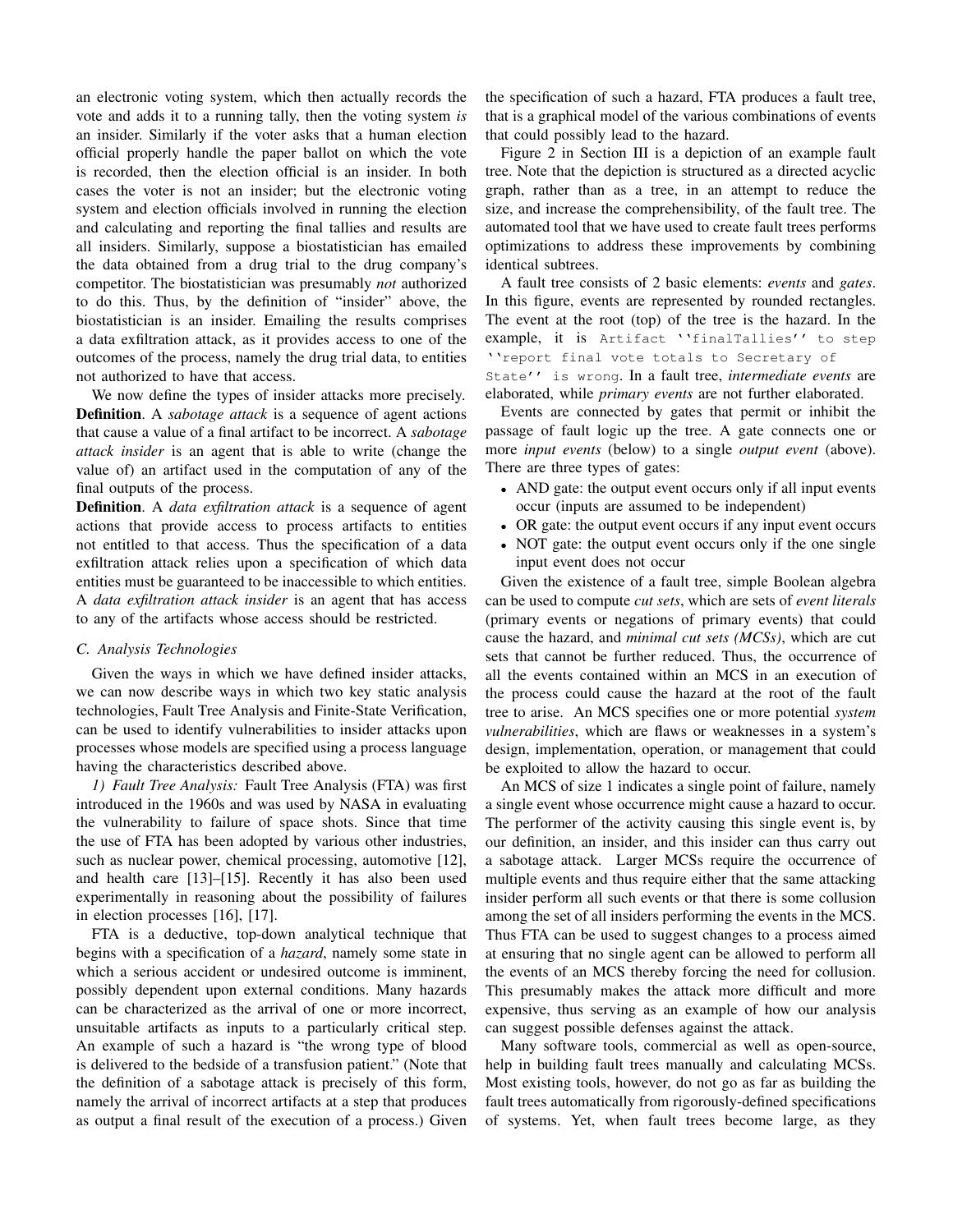an electronic voting system, which then actually records the vote and adds it to a running tally, then the voting system *is* an insider. Similarly if the voter asks that a human election official properly handle the paper ballot on which the vote is recorded, then the election official is an insider. In both cases the voter is not an insider; but the electronic voting system and election officials involved in running the election and calculating and reporting the final tallies and results are all insiders. Similarly, suppose a biostatistician has emailed the data obtained from a drug trial to the drug company's competitor. The biostatistician was presumably *not* authorized to do this. Thus, by the definition of "insider" above, the biostatistician is an insider. Emailing the results comprises a data exfiltration attack, as it provides access to one of the outcomes of the process, namely the drug trial data, to entities not authorized to have that access.

We now define the types of insider attacks more precisely. Definition. A *sabotage attack* is a sequence of agent actions that cause a value of a final artifact to be incorrect. A *sabotage attack insider* is an agent that is able to write (change the value of) an artifact used in the computation of any of the final outputs of the process.

Definition. A *data exfiltration attack* is a sequence of agent actions that provide access to process artifacts to entities not entitled to that access. Thus the specification of a data exfiltration attack relies upon a specification of which data entities must be guaranteed to be inaccessible to which entities. A *data exfiltration attack insider* is an agent that has access to any of the artifacts whose access should be restricted.

## *C. Analysis Technologies*

Given the ways in which we have defined insider attacks, we can now describe ways in which two key static analysis technologies, Fault Tree Analysis and Finite-State Verification, can be used to identify vulnerabilities to insider attacks upon processes whose models are specified using a process language having the characteristics described above.

*1) Fault Tree Analysis:* Fault Tree Analysis (FTA) was first introduced in the 1960s and was used by NASA in evaluating the vulnerability to failure of space shots. Since that time the use of FTA has been adopted by various other industries, such as nuclear power, chemical processing, automotive [12], and health care [13]–[15]. Recently it has also been used experimentally in reasoning about the possibility of failures in election processes [16], [17].

FTA is a deductive, top-down analytical technique that begins with a specification of a *hazard*, namely some state in which a serious accident or undesired outcome is imminent, possibly dependent upon external conditions. Many hazards can be characterized as the arrival of one or more incorrect, unsuitable artifacts as inputs to a particularly critical step. An example of such a hazard is "the wrong type of blood is delivered to the bedside of a transfusion patient." (Note that the definition of a sabotage attack is precisely of this form, namely the arrival of incorrect artifacts at a step that produces as output a final result of the execution of a process.) Given

the specification of such a hazard, FTA produces a fault tree, that is a graphical model of the various combinations of events that could possibly lead to the hazard.

Figure 2 in Section III is a depiction of an example fault tree. Note that the depiction is structured as a directed acyclic graph, rather than as a tree, in an attempt to reduce the size, and increase the comprehensibility, of the fault tree. The automated tool that we have used to create fault trees performs optimizations to address these improvements by combining identical subtrees.

A fault tree consists of 2 basic elements: *events* and *gates*. In this figure, events are represented by rounded rectangles. The event at the root (top) of the tree is the hazard. In the example, it is Artifact ''finalTallies'' to step ''report final vote totals to Secretary of State'' is wrong. In a fault tree, *intermediate events* are elaborated, while *primary events* are not further elaborated.

Events are connected by gates that permit or inhibit the passage of fault logic up the tree. A gate connects one or more *input events* (below) to a single *output event* (above). There are three types of gates:

- AND gate: the output event occurs only if all input events occur (inputs are assumed to be independent)
- OR gate: the output event occurs if any input event occurs
- NOT gate: the output event occurs only if the one single input event does not occur

Given the existence of a fault tree, simple Boolean algebra can be used to compute *cut sets*, which are sets of *event literals* (primary events or negations of primary events) that could cause the hazard, and *minimal cut sets (MCSs)*, which are cut sets that cannot be further reduced. Thus, the occurrence of all the events contained within an MCS in an execution of the process could cause the hazard at the root of the fault tree to arise. An MCS specifies one or more potential *system vulnerabilities*, which are flaws or weaknesses in a system's design, implementation, operation, or management that could be exploited to allow the hazard to occur.

An MCS of size 1 indicates a single point of failure, namely a single event whose occurrence might cause a hazard to occur. The performer of the activity causing this single event is, by our definition, an insider, and this insider can thus carry out a sabotage attack. Larger MCSs require the occurrence of multiple events and thus require either that the same attacking insider perform all such events or that there is some collusion among the set of all insiders performing the events in the MCS. Thus FTA can be used to suggest changes to a process aimed at ensuring that no single agent can be allowed to perform all the events of an MCS thereby forcing the need for collusion. This presumably makes the attack more difficult and more expensive, thus serving as an example of how our analysis can suggest possible defenses against the attack.

Many software tools, commercial as well as open-source, help in building fault trees manually and calculating MCSs. Most existing tools, however, do not go as far as building the fault trees automatically from rigorously-defined specifications of systems. Yet, when fault trees become large, as they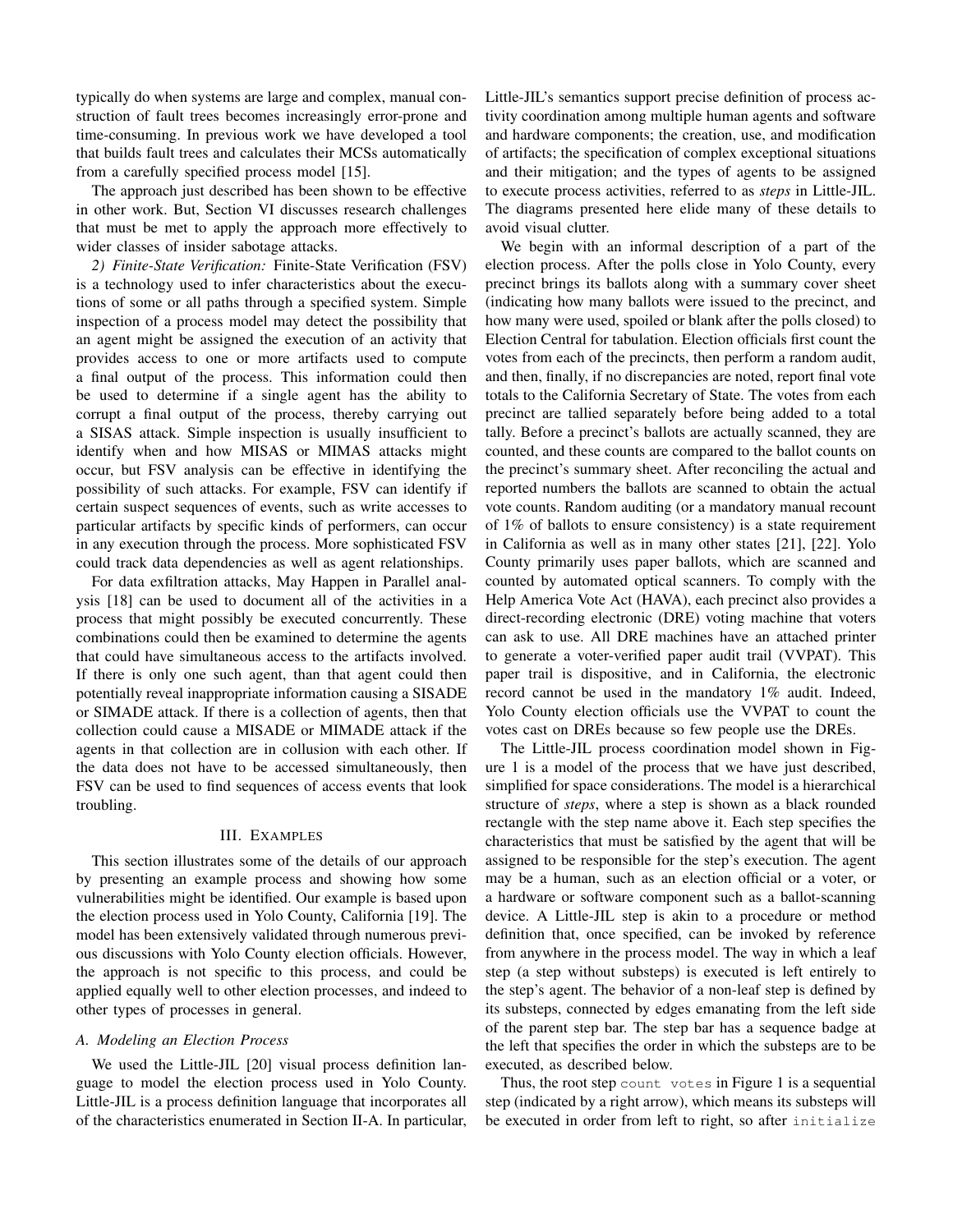typically do when systems are large and complex, manual construction of fault trees becomes increasingly error-prone and time-consuming. In previous work we have developed a tool that builds fault trees and calculates their MCSs automatically from a carefully specified process model [15].

The approach just described has been shown to be effective in other work. But, Section VI discusses research challenges that must be met to apply the approach more effectively to wider classes of insider sabotage attacks.

*2) Finite-State Verification:* Finite-State Verification (FSV) is a technology used to infer characteristics about the executions of some or all paths through a specified system. Simple inspection of a process model may detect the possibility that an agent might be assigned the execution of an activity that provides access to one or more artifacts used to compute a final output of the process. This information could then be used to determine if a single agent has the ability to corrupt a final output of the process, thereby carrying out a SISAS attack. Simple inspection is usually insufficient to identify when and how MISAS or MIMAS attacks might occur, but FSV analysis can be effective in identifying the possibility of such attacks. For example, FSV can identify if certain suspect sequences of events, such as write accesses to particular artifacts by specific kinds of performers, can occur in any execution through the process. More sophisticated FSV could track data dependencies as well as agent relationships.

For data exfiltration attacks, May Happen in Parallel analysis [18] can be used to document all of the activities in a process that might possibly be executed concurrently. These combinations could then be examined to determine the agents that could have simultaneous access to the artifacts involved. If there is only one such agent, than that agent could then potentially reveal inappropriate information causing a SISADE or SIMADE attack. If there is a collection of agents, then that collection could cause a MISADE or MIMADE attack if the agents in that collection are in collusion with each other. If the data does not have to be accessed simultaneously, then FSV can be used to find sequences of access events that look troubling.

## III. EXAMPLES

This section illustrates some of the details of our approach by presenting an example process and showing how some vulnerabilities might be identified. Our example is based upon the election process used in Yolo County, California [19]. The model has been extensively validated through numerous previous discussions with Yolo County election officials. However, the approach is not specific to this process, and could be applied equally well to other election processes, and indeed to other types of processes in general.

## *A. Modeling an Election Process*

We used the Little-JIL [20] visual process definition language to model the election process used in Yolo County. Little-JIL is a process definition language that incorporates all of the characteristics enumerated in Section II-A. In particular, Little-JIL's semantics support precise definition of process activity coordination among multiple human agents and software and hardware components; the creation, use, and modification of artifacts; the specification of complex exceptional situations and their mitigation; and the types of agents to be assigned to execute process activities, referred to as *steps* in Little-JIL. The diagrams presented here elide many of these details to avoid visual clutter.

We begin with an informal description of a part of the election process. After the polls close in Yolo County, every precinct brings its ballots along with a summary cover sheet (indicating how many ballots were issued to the precinct, and how many were used, spoiled or blank after the polls closed) to Election Central for tabulation. Election officials first count the votes from each of the precincts, then perform a random audit, and then, finally, if no discrepancies are noted, report final vote totals to the California Secretary of State. The votes from each precinct are tallied separately before being added to a total tally. Before a precinct's ballots are actually scanned, they are counted, and these counts are compared to the ballot counts on the precinct's summary sheet. After reconciling the actual and reported numbers the ballots are scanned to obtain the actual vote counts. Random auditing (or a mandatory manual recount of 1% of ballots to ensure consistency) is a state requirement in California as well as in many other states [21], [22]. Yolo County primarily uses paper ballots, which are scanned and counted by automated optical scanners. To comply with the Help America Vote Act (HAVA), each precinct also provides a direct-recording electronic (DRE) voting machine that voters can ask to use. All DRE machines have an attached printer to generate a voter-verified paper audit trail (VVPAT). This paper trail is dispositive, and in California, the electronic record cannot be used in the mandatory 1% audit. Indeed, Yolo County election officials use the VVPAT to count the votes cast on DREs because so few people use the DREs.

The Little-JIL process coordination model shown in Figure 1 is a model of the process that we have just described, simplified for space considerations. The model is a hierarchical structure of *steps*, where a step is shown as a black rounded rectangle with the step name above it. Each step specifies the characteristics that must be satisfied by the agent that will be assigned to be responsible for the step's execution. The agent may be a human, such as an election official or a voter, or a hardware or software component such as a ballot-scanning device. A Little-JIL step is akin to a procedure or method definition that, once specified, can be invoked by reference from anywhere in the process model. The way in which a leaf step (a step without substeps) is executed is left entirely to the step's agent. The behavior of a non-leaf step is defined by its substeps, connected by edges emanating from the left side of the parent step bar. The step bar has a sequence badge at the left that specifies the order in which the substeps are to be executed, as described below.

Thus, the root step count votes in Figure 1 is a sequential step (indicated by a right arrow), which means its substeps will be executed in order from left to right, so after initialize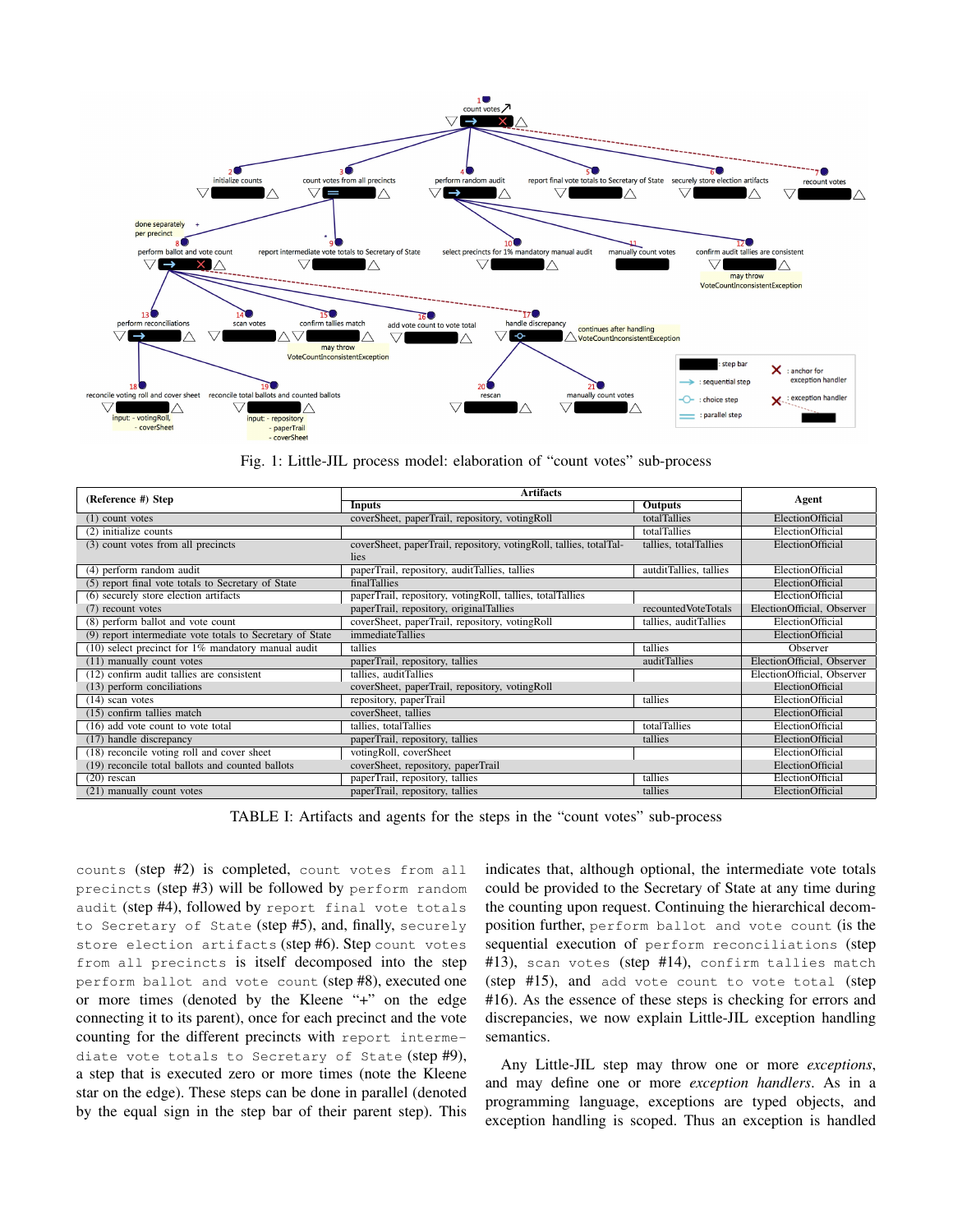

Fig. 1: Little-JIL process model: elaboration of "count votes" sub-process

| (Reference #) Step                                        | <b>Artifacts</b>                                                           |                        |                            |
|-----------------------------------------------------------|----------------------------------------------------------------------------|------------------------|----------------------------|
|                                                           | Inputs                                                                     | Outputs                | Agent                      |
| $(1)$ count votes                                         | coverSheet, paperTrail, repository, votingRoll                             | totalTallies           | ElectionOfficial           |
| (2) initialize counts                                     |                                                                            | totalTallies           | ElectionOfficial           |
| (3) count votes from all precincts                        | coverSheet, paperTrail, repository, votingRoll, tallies, totalTal-<br>lies | tallies, totalTallies  | ElectionOfficial           |
| (4) perform random audit                                  | paperTrail, repository, auditTallies, tallies                              | autditTallies, tallies | ElectionOfficial           |
| (5) report final vote totals to Secretary of State        | finalTallies                                                               |                        | ElectionOfficial           |
| (6) securely store election artifacts                     | paperTrail, repository, votingRoll, tallies, totalTallies                  |                        | ElectionOfficial           |
| (7) recount votes                                         | paperTrail, repository, originalTallies                                    | recountedVoteTotals    | ElectionOfficial, Observer |
| (8) perform ballot and vote count                         | coverSheet, paperTrail, repository, votingRoll                             | tallies, auditTallies  | ElectionOfficial           |
| (9) report intermediate vote totals to Secretary of State | <i>immediateTallies</i>                                                    |                        | ElectionOfficial           |
| $(10)$ select precinct for 1% mandatory manual audit      | tallies                                                                    | tallies                | Observer                   |
| (11) manually count votes                                 | paperTrail, repository, tallies                                            | auditTallies           | ElectionOfficial, Observer |
| (12) confirm audit tallies are consistent                 | tallies, auditTallies                                                      |                        | ElectionOfficial, Observer |
| (13) perform conciliations                                | coverSheet, paperTrail, repository, votingRoll                             |                        | ElectionOfficial           |
| $(14)$ scan votes                                         | repository, paperTrail                                                     | tallies                | ElectionOfficial           |
| (15) confirm tallies match                                | coverSheet, tallies                                                        |                        | ElectionOfficial           |
| (16) add vote count to vote total                         | tallies, totalTallies                                                      | totalTallies           | <b>ElectionOfficial</b>    |
| (17) handle discrepancy                                   | paperTrail, repository, tallies                                            | tallies                | ElectionOfficial           |
| (18) reconcile voting roll and cover sheet                | votingRoll, coverSheet                                                     |                        | ElectionOfficial           |
| (19) reconcile total ballots and counted ballots          | coverSheet, repository, paperTrail                                         |                        | ElectionOfficial           |
| $(20)$ rescan                                             | paperTrail, repository, tallies                                            | tallies                | <b>ElectionOfficial</b>    |
| (21) manually count votes                                 | paperTrail, repository, tallies                                            | tallies                | ElectionOfficial           |

TABLE I: Artifacts and agents for the steps in the "count votes" sub-process

counts (step #2) is completed, count votes from all precincts (step #3) will be followed by perform random audit (step #4), followed by report final vote totals to Secretary of State (step #5), and, finally, securely store election artifacts (step #6). Step count votes from all precincts is itself decomposed into the step perform ballot and vote count (step #8), executed one or more times (denoted by the Kleene "+" on the edge connecting it to its parent), once for each precinct and the vote counting for the different precincts with report intermediate vote totals to Secretary of State (step #9), a step that is executed zero or more times (note the Kleene star on the edge). These steps can be done in parallel (denoted by the equal sign in the step bar of their parent step). This indicates that, although optional, the intermediate vote totals could be provided to the Secretary of State at any time during the counting upon request. Continuing the hierarchical decomposition further, perform ballot and vote count (is the sequential execution of perform reconciliations (step #13), scan votes (step #14), confirm tallies match (step #15), and add vote count to vote total (step #16). As the essence of these steps is checking for errors and discrepancies, we now explain Little-JIL exception handling semantics.

Any Little-JIL step may throw one or more *exceptions*, and may define one or more *exception handlers*. As in a programming language, exceptions are typed objects, and exception handling is scoped. Thus an exception is handled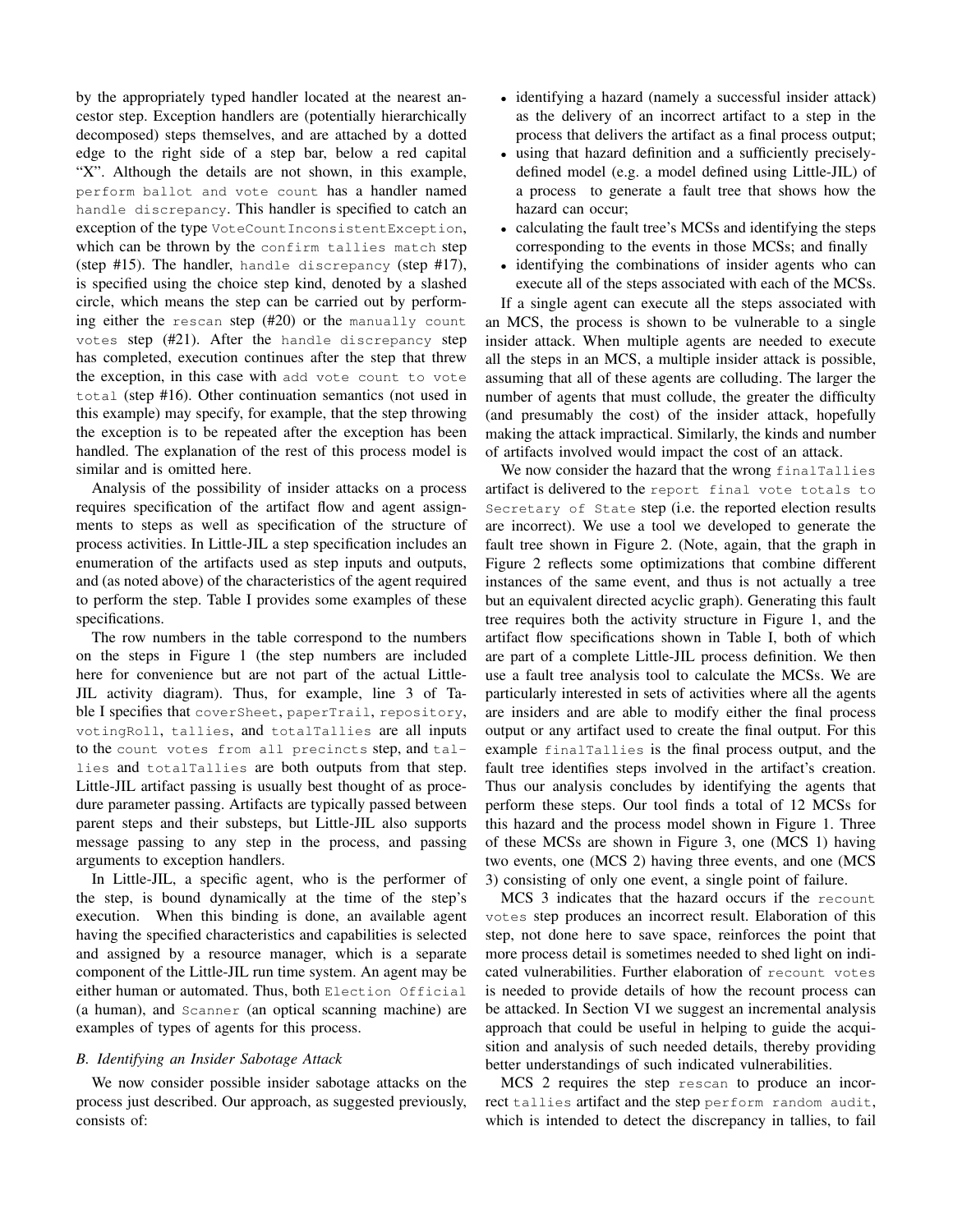by the appropriately typed handler located at the nearest ancestor step. Exception handlers are (potentially hierarchically decomposed) steps themselves, and are attached by a dotted edge to the right side of a step bar, below a red capital "X". Although the details are not shown, in this example, perform ballot and vote count has a handler named handle discrepancy. This handler is specified to catch an exception of the type VoteCountInconsistentException, which can be thrown by the confirm tallies match step (step #15). The handler, handle discrepancy (step #17), is specified using the choice step kind, denoted by a slashed circle, which means the step can be carried out by performing either the rescan step (#20) or the manually count votes step (#21). After the handle discrepancy step has completed, execution continues after the step that threw the exception, in this case with add vote count to vote total (step #16). Other continuation semantics (not used in this example) may specify, for example, that the step throwing the exception is to be repeated after the exception has been handled. The explanation of the rest of this process model is similar and is omitted here.

Analysis of the possibility of insider attacks on a process requires specification of the artifact flow and agent assignments to steps as well as specification of the structure of process activities. In Little-JIL a step specification includes an enumeration of the artifacts used as step inputs and outputs, and (as noted above) of the characteristics of the agent required to perform the step. Table I provides some examples of these specifications.

The row numbers in the table correspond to the numbers on the steps in Figure 1 (the step numbers are included here for convenience but are not part of the actual Little-JIL activity diagram). Thus, for example, line 3 of Table I specifies that coverSheet, paperTrail, repository, votingRoll, tallies, and totalTallies are all inputs to the count votes from all precincts step, and tallies and totalTallies are both outputs from that step. Little-JIL artifact passing is usually best thought of as procedure parameter passing. Artifacts are typically passed between parent steps and their substeps, but Little-JIL also supports message passing to any step in the process, and passing arguments to exception handlers.

In Little-JIL, a specific agent, who is the performer of the step, is bound dynamically at the time of the step's execution. When this binding is done, an available agent having the specified characteristics and capabilities is selected and assigned by a resource manager, which is a separate component of the Little-JIL run time system. An agent may be either human or automated. Thus, both Election Official (a human), and Scanner (an optical scanning machine) are examples of types of agents for this process.

# *B. Identifying an Insider Sabotage Attack*

We now consider possible insider sabotage attacks on the process just described. Our approach, as suggested previously, consists of:

- identifying a hazard (namely a successful insider attack) as the delivery of an incorrect artifact to a step in the process that delivers the artifact as a final process output;
- using that hazard definition and a sufficiently preciselydefined model (e.g. a model defined using Little-JIL) of a process to generate a fault tree that shows how the hazard can occur;
- calculating the fault tree's MCSs and identifying the steps corresponding to the events in those MCSs; and finally
- identifying the combinations of insider agents who can execute all of the steps associated with each of the MCSs.

If a single agent can execute all the steps associated with an MCS, the process is shown to be vulnerable to a single insider attack. When multiple agents are needed to execute all the steps in an MCS, a multiple insider attack is possible, assuming that all of these agents are colluding. The larger the number of agents that must collude, the greater the difficulty (and presumably the cost) of the insider attack, hopefully making the attack impractical. Similarly, the kinds and number of artifacts involved would impact the cost of an attack.

We now consider the hazard that the wrong finalTallies artifact is delivered to the report final vote totals to Secretary of State step (i.e. the reported election results are incorrect). We use a tool we developed to generate the fault tree shown in Figure 2. (Note, again, that the graph in Figure 2 reflects some optimizations that combine different instances of the same event, and thus is not actually a tree but an equivalent directed acyclic graph). Generating this fault tree requires both the activity structure in Figure 1, and the artifact flow specifications shown in Table I, both of which are part of a complete Little-JIL process definition. We then use a fault tree analysis tool to calculate the MCSs. We are particularly interested in sets of activities where all the agents are insiders and are able to modify either the final process output or any artifact used to create the final output. For this example finalTallies is the final process output, and the fault tree identifies steps involved in the artifact's creation. Thus our analysis concludes by identifying the agents that perform these steps. Our tool finds a total of 12 MCSs for this hazard and the process model shown in Figure 1. Three of these MCSs are shown in Figure 3, one (MCS 1) having two events, one (MCS 2) having three events, and one (MCS 3) consisting of only one event, a single point of failure.

MCS 3 indicates that the hazard occurs if the recount votes step produces an incorrect result. Elaboration of this step, not done here to save space, reinforces the point that more process detail is sometimes needed to shed light on indicated vulnerabilities. Further elaboration of recount votes is needed to provide details of how the recount process can be attacked. In Section VI we suggest an incremental analysis approach that could be useful in helping to guide the acquisition and analysis of such needed details, thereby providing better understandings of such indicated vulnerabilities.

MCS 2 requires the step rescan to produce an incorrect tallies artifact and the step perform random audit, which is intended to detect the discrepancy in tallies, to fail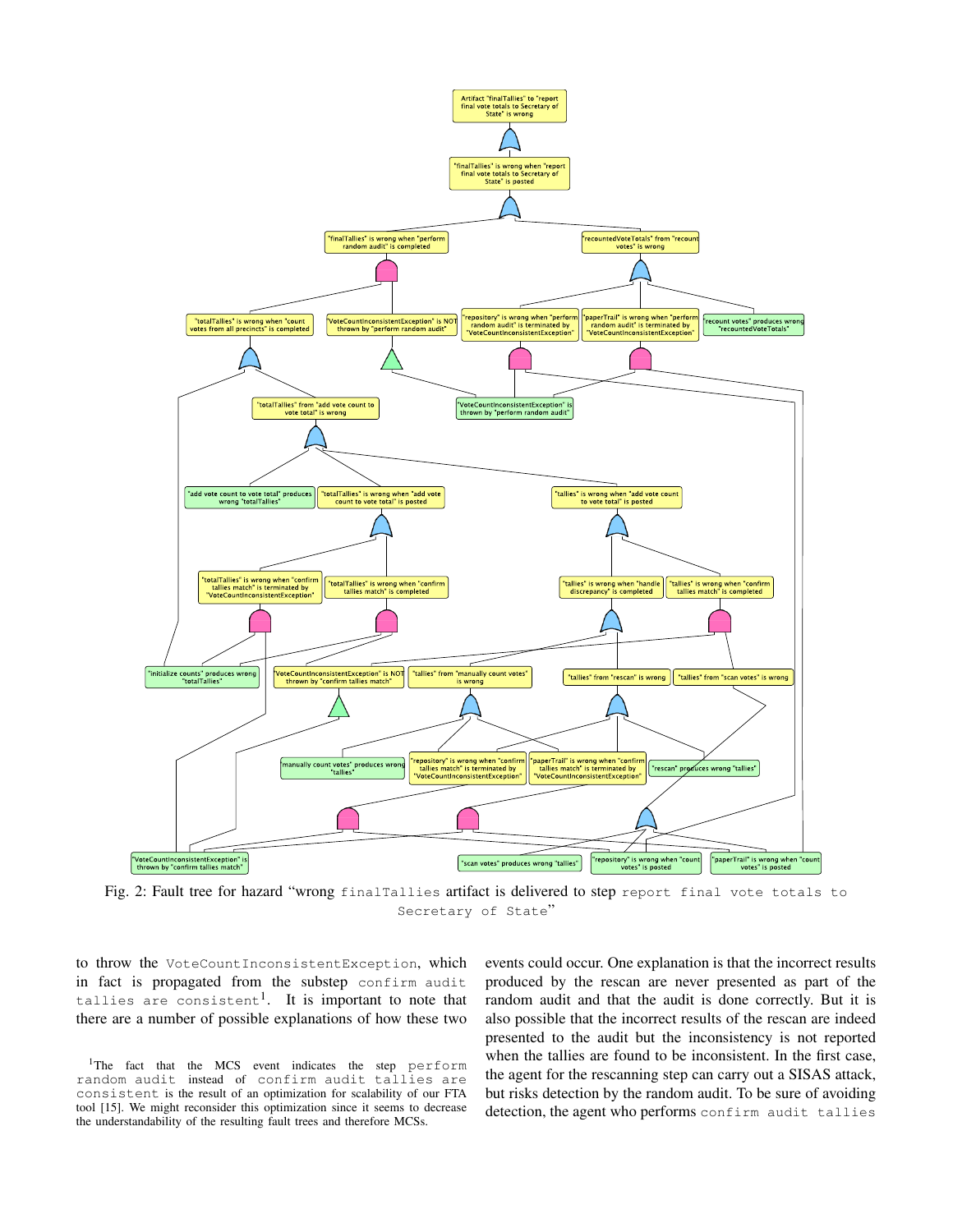

Fig. 2: Fault tree for hazard "wrong finalTallies artifact is delivered to step report final vote totals to Secretary of State"

to throw the VoteCountInconsistentException, which in fact is propagated from the substep confirm audit tallies are consistent<sup>1</sup>. It is important to note that there are a number of possible explanations of how these two

<sup>1</sup>The fact that the MCS event indicates the step perform random audit instead of confirm audit tallies are consistent is the result of an optimization for scalability of our FTA tool [15]. We might reconsider this optimization since it seems to decrease the understandability of the resulting fault trees and therefore MCSs.

events could occur. One explanation is that the incorrect results produced by the rescan are never presented as part of the random audit and that the audit is done correctly. But it is also possible that the incorrect results of the rescan are indeed presented to the audit but the inconsistency is not reported when the tallies are found to be inconsistent. In the first case, the agent for the rescanning step can carry out a SISAS attack, but risks detection by the random audit. To be sure of avoiding detection, the agent who performs confirm audit tallies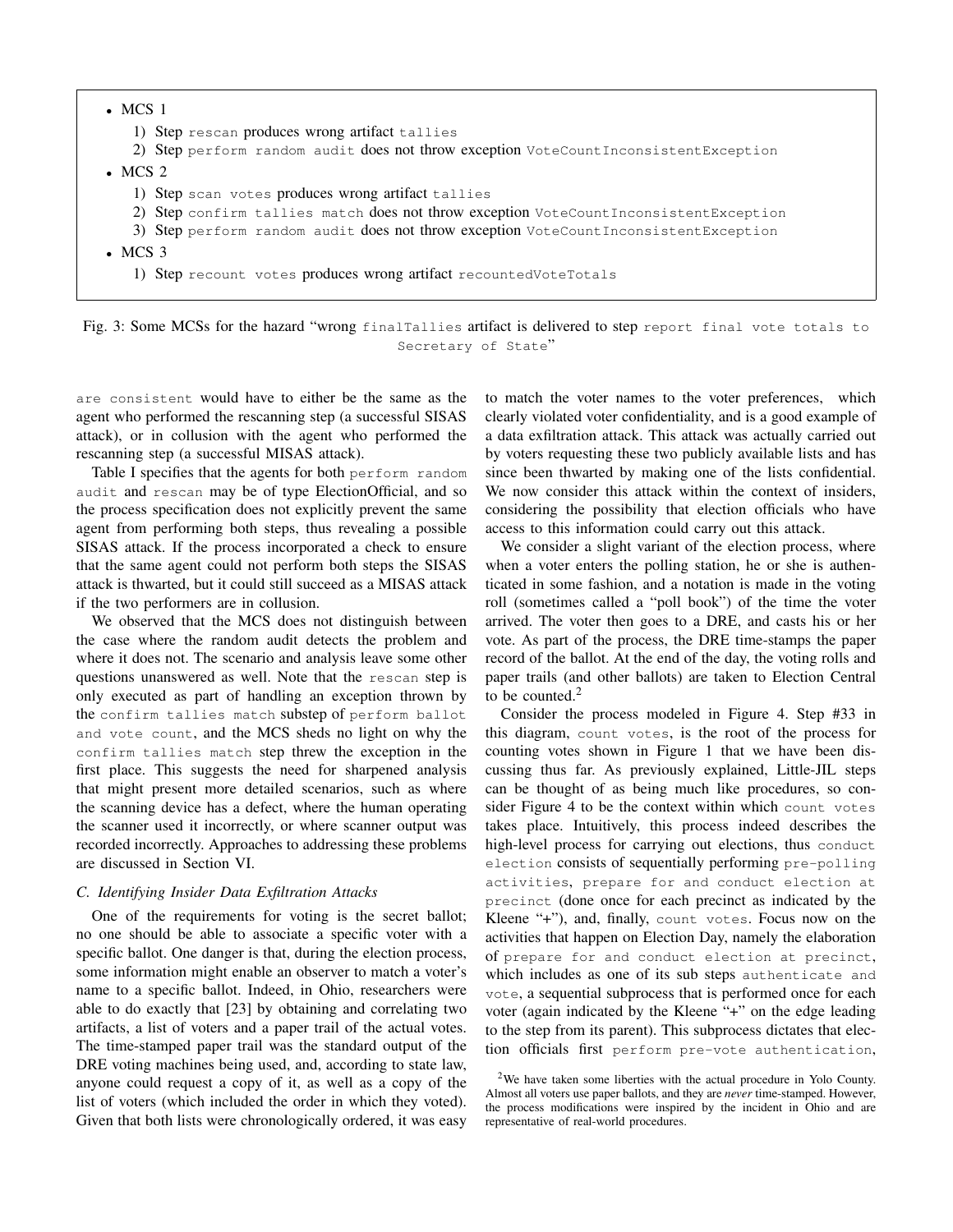| $\bullet$ MCS 1                                                                       |  |
|---------------------------------------------------------------------------------------|--|
| 1) Step rescan produces wrong artifact tallies                                        |  |
| 2) Step perform random audit does not throw exception VoteCountInconsistentException  |  |
| $\bullet$ MCS 2                                                                       |  |
| 1) Step scan votes produces wrong artifact tallies                                    |  |
| 2) Step confirm tallies match does not throw exception VoteCountInconsistentException |  |
| 3) Step perform random audit does not throw exception VoteCountInconsistentException  |  |
| $-MCS3$                                                                               |  |
| 1) Step recount votes produces wrong artifact recounted VoteTotals                    |  |

Fig. 3: Some MCSs for the hazard "wrong finalTallies artifact is delivered to step report final vote totals to Secretary of State"

are consistent would have to either be the same as the agent who performed the rescanning step (a successful SISAS attack), or in collusion with the agent who performed the rescanning step (a successful MISAS attack).

Table I specifies that the agents for both perform random audit and rescan may be of type ElectionOfficial, and so the process specification does not explicitly prevent the same agent from performing both steps, thus revealing a possible SISAS attack. If the process incorporated a check to ensure that the same agent could not perform both steps the SISAS attack is thwarted, but it could still succeed as a MISAS attack if the two performers are in collusion.

We observed that the MCS does not distinguish between the case where the random audit detects the problem and where it does not. The scenario and analysis leave some other questions unanswered as well. Note that the rescan step is only executed as part of handling an exception thrown by the confirm tallies match substep of perform ballot and vote count, and the MCS sheds no light on why the confirm tallies match step threw the exception in the first place. This suggests the need for sharpened analysis that might present more detailed scenarios, such as where the scanning device has a defect, where the human operating the scanner used it incorrectly, or where scanner output was recorded incorrectly. Approaches to addressing these problems are discussed in Section VI.

## *C. Identifying Insider Data Exfiltration Attacks*

One of the requirements for voting is the secret ballot; no one should be able to associate a specific voter with a specific ballot. One danger is that, during the election process, some information might enable an observer to match a voter's name to a specific ballot. Indeed, in Ohio, researchers were able to do exactly that [23] by obtaining and correlating two artifacts, a list of voters and a paper trail of the actual votes. The time-stamped paper trail was the standard output of the DRE voting machines being used, and, according to state law, anyone could request a copy of it, as well as a copy of the list of voters (which included the order in which they voted). Given that both lists were chronologically ordered, it was easy

to match the voter names to the voter preferences, which clearly violated voter confidentiality, and is a good example of a data exfiltration attack. This attack was actually carried out by voters requesting these two publicly available lists and has since been thwarted by making one of the lists confidential. We now consider this attack within the context of insiders, considering the possibility that election officials who have access to this information could carry out this attack.

We consider a slight variant of the election process, where when a voter enters the polling station, he or she is authenticated in some fashion, and a notation is made in the voting roll (sometimes called a "poll book") of the time the voter arrived. The voter then goes to a DRE, and casts his or her vote. As part of the process, the DRE time-stamps the paper record of the ballot. At the end of the day, the voting rolls and paper trails (and other ballots) are taken to Election Central to be counted.<sup>2</sup>

Consider the process modeled in Figure 4. Step #33 in this diagram, count votes, is the root of the process for counting votes shown in Figure 1 that we have been discussing thus far. As previously explained, Little-JIL steps can be thought of as being much like procedures, so consider Figure 4 to be the context within which count votes takes place. Intuitively, this process indeed describes the high-level process for carrying out elections, thus conduct election consists of sequentially performing pre-polling activities, prepare for and conduct election at precinct (done once for each precinct as indicated by the Kleene "+"), and, finally, count votes. Focus now on the activities that happen on Election Day, namely the elaboration of prepare for and conduct election at precinct, which includes as one of its sub steps authenticate and vote, a sequential subprocess that is performed once for each voter (again indicated by the Kleene "+" on the edge leading to the step from its parent). This subprocess dictates that election officials first perform pre-vote authentication,

<sup>2</sup>We have taken some liberties with the actual procedure in Yolo County. Almost all voters use paper ballots, and they are *never* time-stamped. However, the process modifications were inspired by the incident in Ohio and are representative of real-world procedures.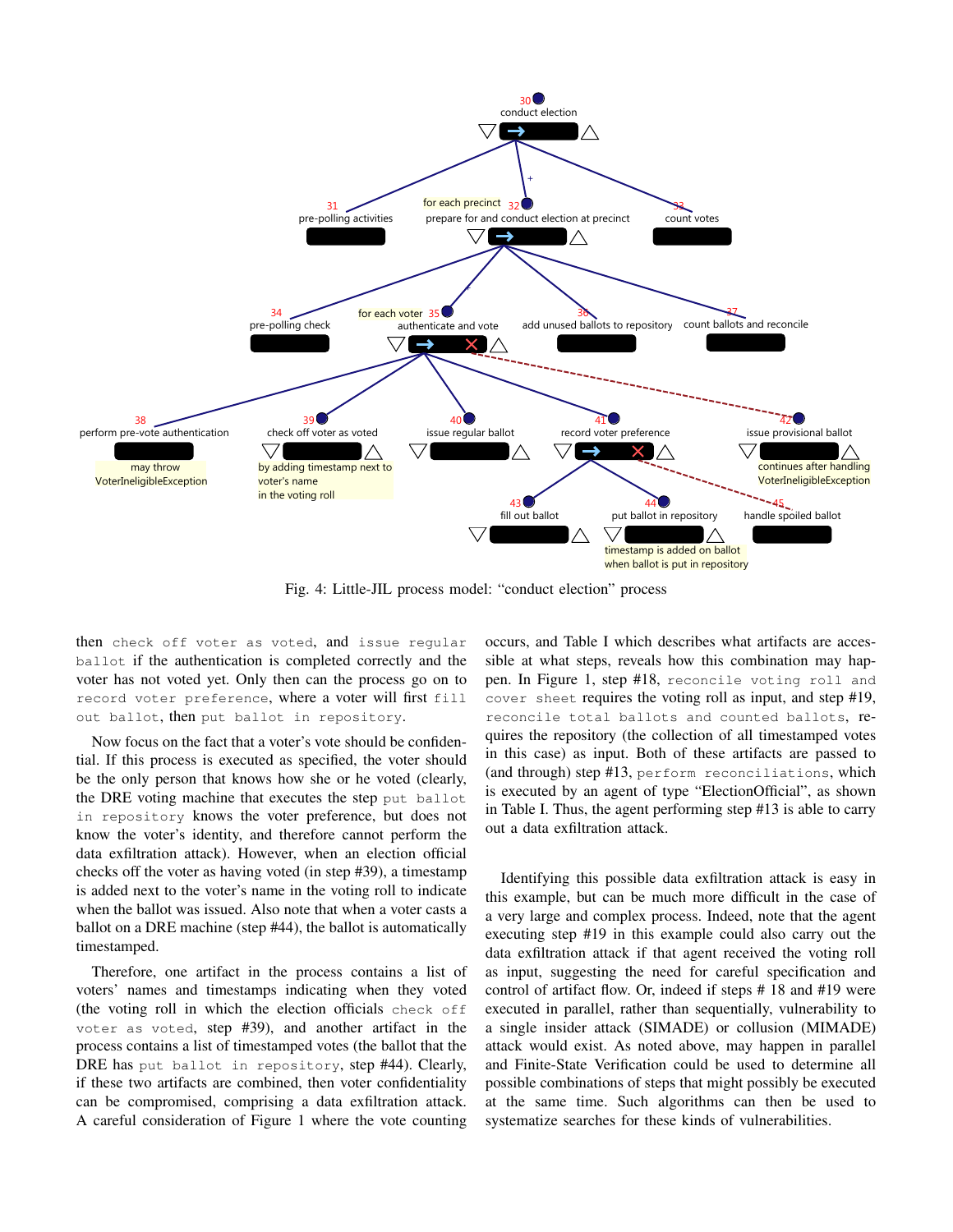

Fig. 4: Little-JIL process model: "conduct election" process

then check off voter as voted, and issue regular ballot if the authentication is completed correctly and the voter has not voted yet. Only then can the process go on to record voter preference, where a voter will first fill out ballot, then put ballot in repository.

Now focus on the fact that a voter's vote should be confidential. If this process is executed as specified, the voter should be the only person that knows how she or he voted (clearly, the DRE voting machine that executes the step put ballot in repository knows the voter preference, but does not know the voter's identity, and therefore cannot perform the data exfiltration attack). However, when an election official checks off the voter as having voted (in step #39), a timestamp is added next to the voter's name in the voting roll to indicate when the ballot was issued. Also note that when a voter casts a ballot on a DRE machine (step #44), the ballot is automatically timestamped.

Therefore, one artifact in the process contains a list of voters' names and timestamps indicating when they voted (the voting roll in which the election officials check off voter as voted, step #39), and another artifact in the process contains a list of timestamped votes (the ballot that the DRE has put ballot in repository, step #44). Clearly, if these two artifacts are combined, then voter confidentiality can be compromised, comprising a data exfiltration attack. A careful consideration of Figure 1 where the vote counting

occurs, and Table I which describes what artifacts are accessible at what steps, reveals how this combination may happen. In Figure 1, step #18, reconcile voting roll and cover sheet requires the voting roll as input, and step #19, reconcile total ballots and counted ballots, requires the repository (the collection of all timestamped votes in this case) as input. Both of these artifacts are passed to (and through) step #13, perform reconciliations, which is executed by an agent of type "ElectionOfficial", as shown in Table I. Thus, the agent performing step #13 is able to carry out a data exfiltration attack.

Identifying this possible data exfiltration attack is easy in this example, but can be much more difficult in the case of a very large and complex process. Indeed, note that the agent executing step #19 in this example could also carry out the data exfiltration attack if that agent received the voting roll as input, suggesting the need for careful specification and control of artifact flow. Or, indeed if steps # 18 and #19 were executed in parallel, rather than sequentially, vulnerability to a single insider attack (SIMADE) or collusion (MIMADE) attack would exist. As noted above, may happen in parallel and Finite-State Verification could be used to determine all possible combinations of steps that might possibly be executed at the same time. Such algorithms can then be used to systematize searches for these kinds of vulnerabilities.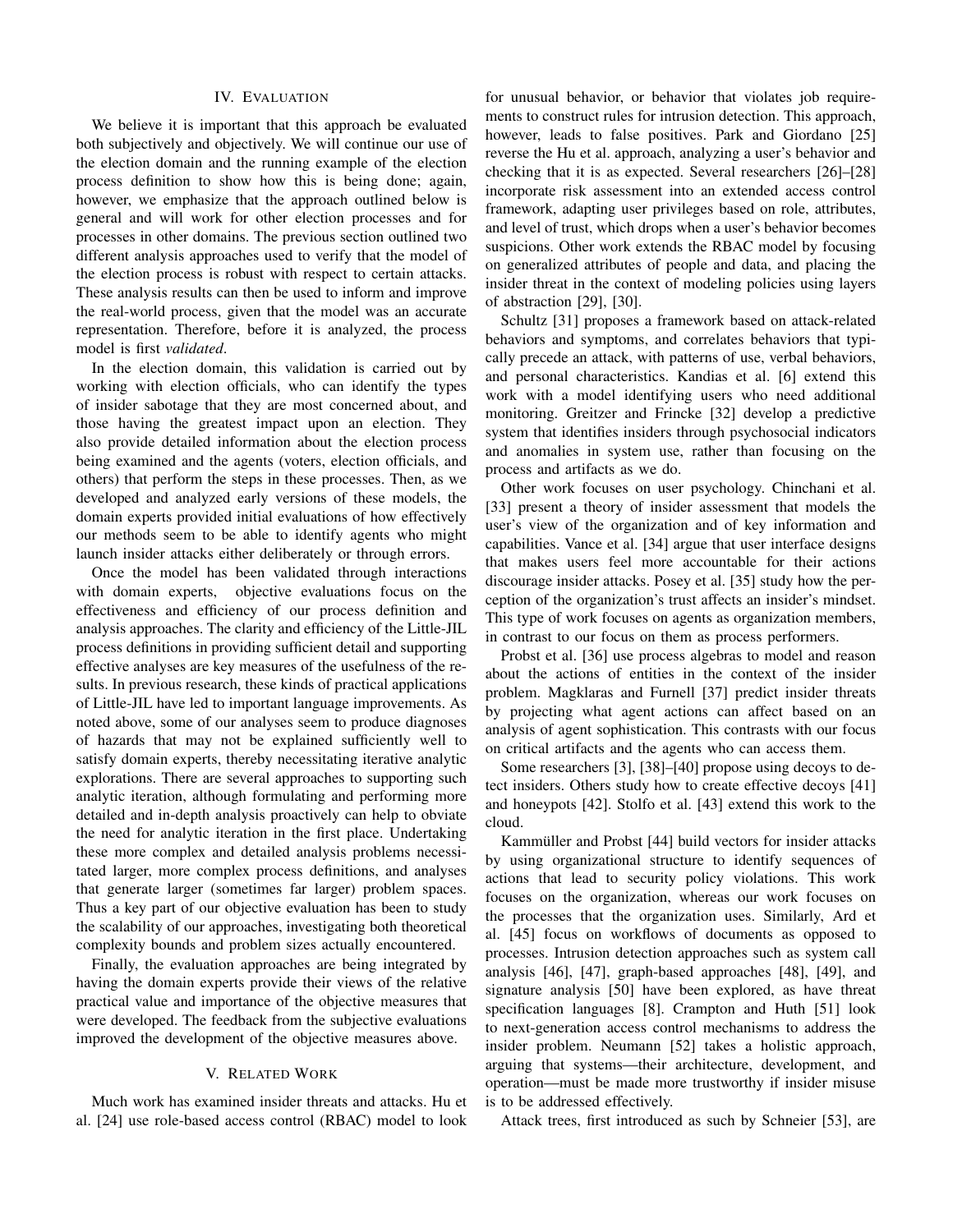#### IV. EVALUATION

We believe it is important that this approach be evaluated both subjectively and objectively. We will continue our use of the election domain and the running example of the election process definition to show how this is being done; again, however, we emphasize that the approach outlined below is general and will work for other election processes and for processes in other domains. The previous section outlined two different analysis approaches used to verify that the model of the election process is robust with respect to certain attacks. These analysis results can then be used to inform and improve the real-world process, given that the model was an accurate representation. Therefore, before it is analyzed, the process model is first *validated*.

In the election domain, this validation is carried out by working with election officials, who can identify the types of insider sabotage that they are most concerned about, and those having the greatest impact upon an election. They also provide detailed information about the election process being examined and the agents (voters, election officials, and others) that perform the steps in these processes. Then, as we developed and analyzed early versions of these models, the domain experts provided initial evaluations of how effectively our methods seem to be able to identify agents who might launch insider attacks either deliberately or through errors.

Once the model has been validated through interactions with domain experts, objective evaluations focus on the effectiveness and efficiency of our process definition and analysis approaches. The clarity and efficiency of the Little-JIL process definitions in providing sufficient detail and supporting effective analyses are key measures of the usefulness of the results. In previous research, these kinds of practical applications of Little-JIL have led to important language improvements. As noted above, some of our analyses seem to produce diagnoses of hazards that may not be explained sufficiently well to satisfy domain experts, thereby necessitating iterative analytic explorations. There are several approaches to supporting such analytic iteration, although formulating and performing more detailed and in-depth analysis proactively can help to obviate the need for analytic iteration in the first place. Undertaking these more complex and detailed analysis problems necessitated larger, more complex process definitions, and analyses that generate larger (sometimes far larger) problem spaces. Thus a key part of our objective evaluation has been to study the scalability of our approaches, investigating both theoretical complexity bounds and problem sizes actually encountered.

Finally, the evaluation approaches are being integrated by having the domain experts provide their views of the relative practical value and importance of the objective measures that were developed. The feedback from the subjective evaluations improved the development of the objective measures above.

## V. RELATED WORK

Much work has examined insider threats and attacks. Hu et al. [24] use role-based access control (RBAC) model to look

for unusual behavior, or behavior that violates job requirements to construct rules for intrusion detection. This approach, however, leads to false positives. Park and Giordano [25] reverse the Hu et al. approach, analyzing a user's behavior and checking that it is as expected. Several researchers [26]–[28] incorporate risk assessment into an extended access control framework, adapting user privileges based on role, attributes, and level of trust, which drops when a user's behavior becomes suspicions. Other work extends the RBAC model by focusing on generalized attributes of people and data, and placing the insider threat in the context of modeling policies using layers of abstraction [29], [30].

Schultz [31] proposes a framework based on attack-related behaviors and symptoms, and correlates behaviors that typically precede an attack, with patterns of use, verbal behaviors, and personal characteristics. Kandias et al. [6] extend this work with a model identifying users who need additional monitoring. Greitzer and Frincke [32] develop a predictive system that identifies insiders through psychosocial indicators and anomalies in system use, rather than focusing on the process and artifacts as we do.

Other work focuses on user psychology. Chinchani et al. [33] present a theory of insider assessment that models the user's view of the organization and of key information and capabilities. Vance et al. [34] argue that user interface designs that makes users feel more accountable for their actions discourage insider attacks. Posey et al. [35] study how the perception of the organization's trust affects an insider's mindset. This type of work focuses on agents as organization members, in contrast to our focus on them as process performers.

Probst et al. [36] use process algebras to model and reason about the actions of entities in the context of the insider problem. Magklaras and Furnell [37] predict insider threats by projecting what agent actions can affect based on an analysis of agent sophistication. This contrasts with our focus on critical artifacts and the agents who can access them.

Some researchers [3], [38]–[40] propose using decoys to detect insiders. Others study how to create effective decoys [41] and honeypots [42]. Stolfo et al. [43] extend this work to the cloud.

Kammüller and Probst [44] build vectors for insider attacks by using organizational structure to identify sequences of actions that lead to security policy violations. This work focuses on the organization, whereas our work focuses on the processes that the organization uses. Similarly, Ard et al. [45] focus on workflows of documents as opposed to processes. Intrusion detection approaches such as system call analysis [46], [47], graph-based approaches [48], [49], and signature analysis [50] have been explored, as have threat specification languages [8]. Crampton and Huth [51] look to next-generation access control mechanisms to address the insider problem. Neumann [52] takes a holistic approach, arguing that systems—their architecture, development, and operation—must be made more trustworthy if insider misuse is to be addressed effectively.

Attack trees, first introduced as such by Schneier [53], are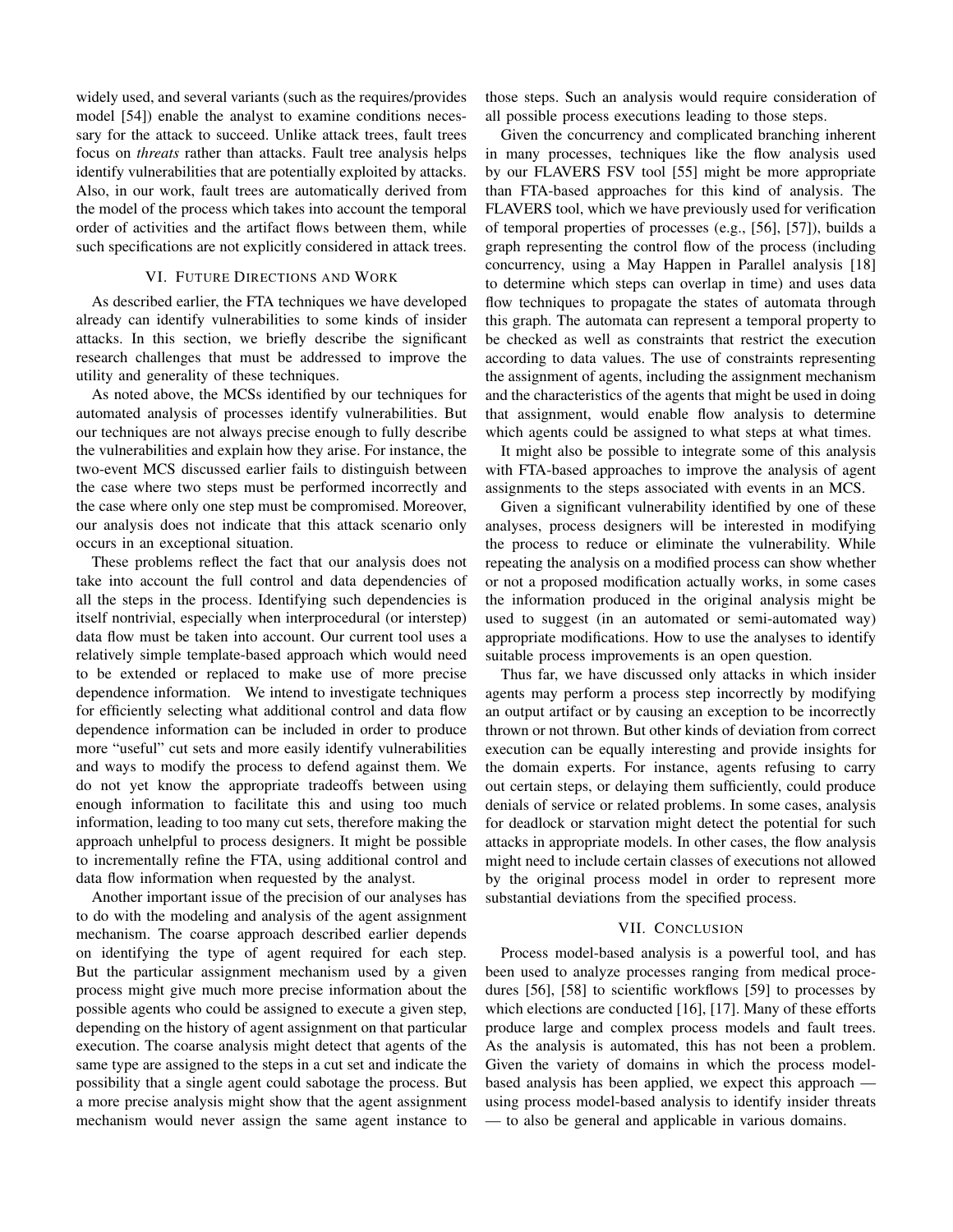widely used, and several variants (such as the requires/provides model [54]) enable the analyst to examine conditions necessary for the attack to succeed. Unlike attack trees, fault trees focus on *threats* rather than attacks. Fault tree analysis helps identify vulnerabilities that are potentially exploited by attacks. Also, in our work, fault trees are automatically derived from the model of the process which takes into account the temporal order of activities and the artifact flows between them, while such specifications are not explicitly considered in attack trees.

#### VI. FUTURE DIRECTIONS AND WORK

As described earlier, the FTA techniques we have developed already can identify vulnerabilities to some kinds of insider attacks. In this section, we briefly describe the significant research challenges that must be addressed to improve the utility and generality of these techniques.

As noted above, the MCSs identified by our techniques for automated analysis of processes identify vulnerabilities. But our techniques are not always precise enough to fully describe the vulnerabilities and explain how they arise. For instance, the two-event MCS discussed earlier fails to distinguish between the case where two steps must be performed incorrectly and the case where only one step must be compromised. Moreover, our analysis does not indicate that this attack scenario only occurs in an exceptional situation.

These problems reflect the fact that our analysis does not take into account the full control and data dependencies of all the steps in the process. Identifying such dependencies is itself nontrivial, especially when interprocedural (or interstep) data flow must be taken into account. Our current tool uses a relatively simple template-based approach which would need to be extended or replaced to make use of more precise dependence information. We intend to investigate techniques for efficiently selecting what additional control and data flow dependence information can be included in order to produce more "useful" cut sets and more easily identify vulnerabilities and ways to modify the process to defend against them. We do not yet know the appropriate tradeoffs between using enough information to facilitate this and using too much information, leading to too many cut sets, therefore making the approach unhelpful to process designers. It might be possible to incrementally refine the FTA, using additional control and data flow information when requested by the analyst.

Another important issue of the precision of our analyses has to do with the modeling and analysis of the agent assignment mechanism. The coarse approach described earlier depends on identifying the type of agent required for each step. But the particular assignment mechanism used by a given process might give much more precise information about the possible agents who could be assigned to execute a given step, depending on the history of agent assignment on that particular execution. The coarse analysis might detect that agents of the same type are assigned to the steps in a cut set and indicate the possibility that a single agent could sabotage the process. But a more precise analysis might show that the agent assignment mechanism would never assign the same agent instance to those steps. Such an analysis would require consideration of all possible process executions leading to those steps.

Given the concurrency and complicated branching inherent in many processes, techniques like the flow analysis used by our FLAVERS FSV tool [55] might be more appropriate than FTA-based approaches for this kind of analysis. The FLAVERS tool, which we have previously used for verification of temporal properties of processes (e.g., [56], [57]), builds a graph representing the control flow of the process (including concurrency, using a May Happen in Parallel analysis [18] to determine which steps can overlap in time) and uses data flow techniques to propagate the states of automata through this graph. The automata can represent a temporal property to be checked as well as constraints that restrict the execution according to data values. The use of constraints representing the assignment of agents, including the assignment mechanism and the characteristics of the agents that might be used in doing that assignment, would enable flow analysis to determine which agents could be assigned to what steps at what times.

It might also be possible to integrate some of this analysis with FTA-based approaches to improve the analysis of agent assignments to the steps associated with events in an MCS.

Given a significant vulnerability identified by one of these analyses, process designers will be interested in modifying the process to reduce or eliminate the vulnerability. While repeating the analysis on a modified process can show whether or not a proposed modification actually works, in some cases the information produced in the original analysis might be used to suggest (in an automated or semi-automated way) appropriate modifications. How to use the analyses to identify suitable process improvements is an open question.

Thus far, we have discussed only attacks in which insider agents may perform a process step incorrectly by modifying an output artifact or by causing an exception to be incorrectly thrown or not thrown. But other kinds of deviation from correct execution can be equally interesting and provide insights for the domain experts. For instance, agents refusing to carry out certain steps, or delaying them sufficiently, could produce denials of service or related problems. In some cases, analysis for deadlock or starvation might detect the potential for such attacks in appropriate models. In other cases, the flow analysis might need to include certain classes of executions not allowed by the original process model in order to represent more substantial deviations from the specified process.

#### VII. CONCLUSION

Process model-based analysis is a powerful tool, and has been used to analyze processes ranging from medical procedures [56], [58] to scientific workflows [59] to processes by which elections are conducted [16], [17]. Many of these efforts produce large and complex process models and fault trees. As the analysis is automated, this has not been a problem. Given the variety of domains in which the process modelbased analysis has been applied, we expect this approach using process model-based analysis to identify insider threats — to also be general and applicable in various domains.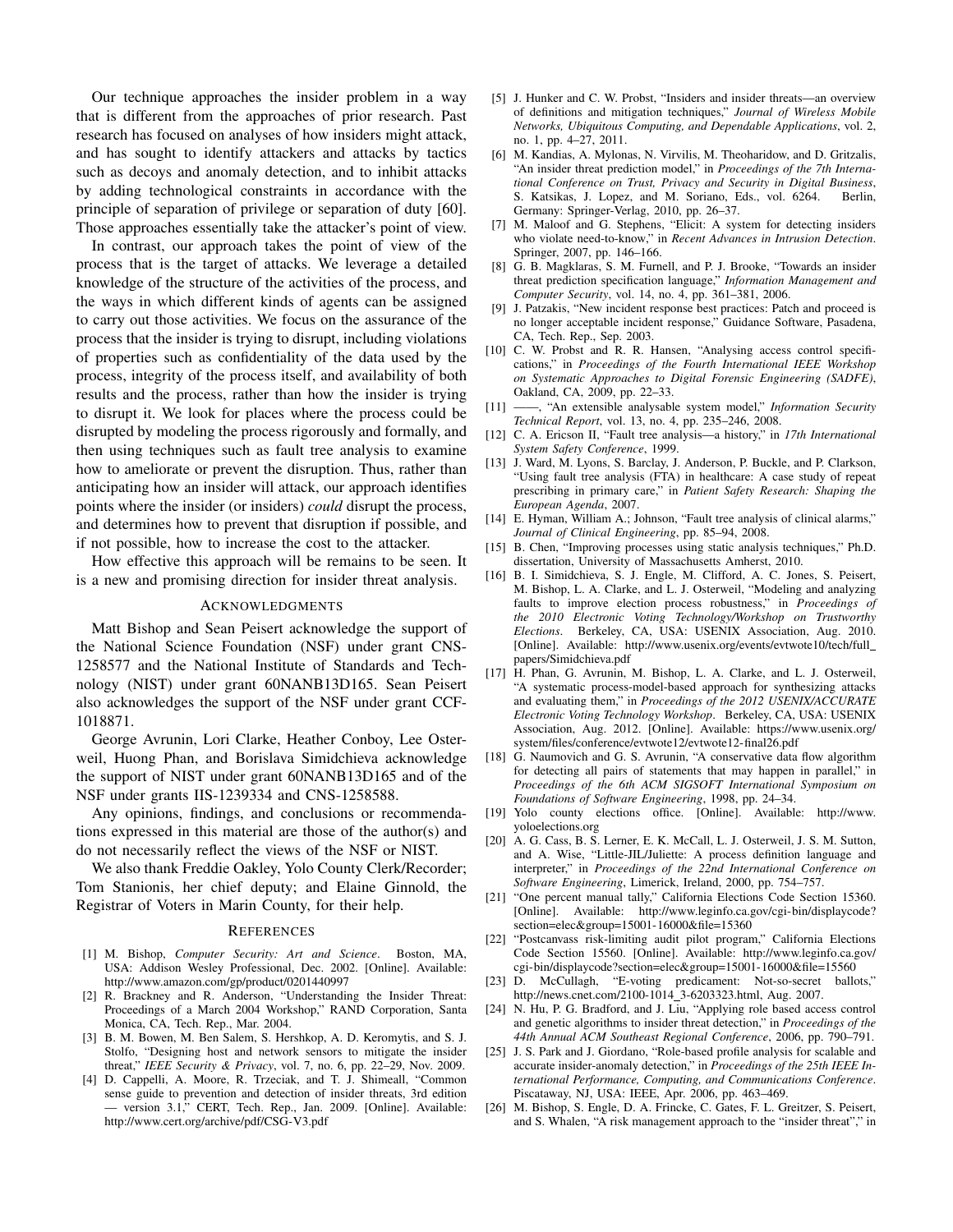Our technique approaches the insider problem in a way that is different from the approaches of prior research. Past research has focused on analyses of how insiders might attack, and has sought to identify attackers and attacks by tactics such as decoys and anomaly detection, and to inhibit attacks by adding technological constraints in accordance with the principle of separation of privilege or separation of duty [60]. Those approaches essentially take the attacker's point of view.

In contrast, our approach takes the point of view of the process that is the target of attacks. We leverage a detailed knowledge of the structure of the activities of the process, and the ways in which different kinds of agents can be assigned to carry out those activities. We focus on the assurance of the process that the insider is trying to disrupt, including violations of properties such as confidentiality of the data used by the process, integrity of the process itself, and availability of both results and the process, rather than how the insider is trying to disrupt it. We look for places where the process could be disrupted by modeling the process rigorously and formally, and then using techniques such as fault tree analysis to examine how to ameliorate or prevent the disruption. Thus, rather than anticipating how an insider will attack, our approach identifies points where the insider (or insiders) *could* disrupt the process, and determines how to prevent that disruption if possible, and if not possible, how to increase the cost to the attacker.

How effective this approach will be remains to be seen. It is a new and promising direction for insider threat analysis.

## **ACKNOWLEDGMENTS**

Matt Bishop and Sean Peisert acknowledge the support of the National Science Foundation (NSF) under grant CNS-1258577 and the National Institute of Standards and Technology (NIST) under grant 60NANB13D165. Sean Peisert also acknowledges the support of the NSF under grant CCF-1018871.

George Avrunin, Lori Clarke, Heather Conboy, Lee Osterweil, Huong Phan, and Borislava Simidchieva acknowledge the support of NIST under grant 60NANB13D165 and of the NSF under grants IIS-1239334 and CNS-1258588.

Any opinions, findings, and conclusions or recommendations expressed in this material are those of the author(s) and do not necessarily reflect the views of the NSF or NIST.

We also thank Freddie Oakley, Yolo County Clerk/Recorder; Tom Stanionis, her chief deputy; and Elaine Ginnold, the Registrar of Voters in Marin County, for their help.

#### **REFERENCES**

- [1] M. Bishop, *Computer Security: Art and Science*. Boston, MA, USA: Addison Wesley Professional, Dec. 2002. [Online]. Available: http://www.amazon.com/gp/product/0201440997
- [2] R. Brackney and R. Anderson, "Understanding the Insider Threat: Proceedings of a March 2004 Workshop," RAND Corporation, Santa Monica, CA, Tech. Rep., Mar. 2004.
- [3] B. M. Bowen, M. Ben Salem, S. Hershkop, A. D. Keromytis, and S. J. Stolfo, "Designing host and network sensors to mitigate the insider threat," *IEEE Security & Privacy*, vol. 7, no. 6, pp. 22–29, Nov. 2009.
- [4] D. Cappelli, A. Moore, R. Trzeciak, and T. J. Shimeall, "Common sense guide to prevention and detection of insider threats, 3rd edition version 3.1," CERT, Tech. Rep., Jan. 2009. [Online]. Available: http://www.cert.org/archive/pdf/CSG-V3.pdf
- [5] J. Hunker and C. W. Probst, "Insiders and insider threats—an overview of definitions and mitigation techniques," *Journal of Wireless Mobile Networks, Ubiquitous Computing, and Dependable Applications*, vol. 2, no. 1, pp. 4–27, 2011.
- [6] M. Kandias, A. Mylonas, N. Virvilis, M. Theoharidow, and D. Gritzalis, "An insider threat prediction model," in *Proceedings of the 7th International Conference on Trust, Privacy and Security in Digital Business*, S. Katsikas, J. Lopez, and M. Soriano, Eds., vol. 6264. Berlin, Germany: Springer-Verlag, 2010, pp. 26–37.
- [7] M. Maloof and G. Stephens, "Elicit: A system for detecting insiders who violate need-to-know," in *Recent Advances in Intrusion Detection*. Springer, 2007, pp. 146–166.
- [8] G. B. Magklaras, S. M. Furnell, and P. J. Brooke, "Towards an insider threat prediction specification language," *Information Management and Computer Security*, vol. 14, no. 4, pp. 361–381, 2006.
- [9] J. Patzakis, "New incident response best practices: Patch and proceed is no longer acceptable incident response," Guidance Software, Pasadena, CA, Tech. Rep., Sep. 2003.
- [10] C. W. Probst and R. R. Hansen, "Analysing access control specifications," in *Proceedings of the Fourth International IEEE Workshop on Systematic Approaches to Digital Forensic Engineering (SADFE)*, Oakland, CA, 2009, pp. 22–33.
- [11] ——, "An extensible analysable system model," *Information Security Technical Report*, vol. 13, no. 4, pp. 235–246, 2008.
- [12] C. A. Ericson II, "Fault tree analysis—a history," in *17th International System Safety Conference*, 1999.
- [13] J. Ward, M. Lyons, S. Barclay, J. Anderson, P. Buckle, and P. Clarkson, "Using fault tree analysis (FTA) in healthcare: A case study of repeat prescribing in primary care," in *Patient Safety Research: Shaping the European Agenda*, 2007.
- [14] E. Hyman, William A.; Johnson, "Fault tree analysis of clinical alarms," *Journal of Clinical Engineering*, pp. 85–94, 2008.
- [15] B. Chen, "Improving processes using static analysis techniques," Ph.D. dissertation, University of Massachusetts Amherst, 2010.
- [16] B. I. Simidchieva, S. J. Engle, M. Clifford, A. C. Jones, S. Peisert, M. Bishop, L. A. Clarke, and L. J. Osterweil, "Modeling and analyzing faults to improve election process robustness," in *Proceedings of the 2010 Electronic Voting Technology/Workshop on Trustworthy Elections*. Berkeley, CA, USA: USENIX Association, Aug. 2010. [Online]. Available: http://www.usenix.org/events/evtwote10/tech/full papers/Simidchieva.pdf
- [17] H. Phan, G. Avrunin, M. Bishop, L. A. Clarke, and L. J. Osterweil, "A systematic process-model-based approach for synthesizing attacks and evaluating them," in *Proceedings of the 2012 USENIX/ACCURATE Electronic Voting Technology Workshop*. Berkeley, CA, USA: USENIX Association, Aug. 2012. [Online]. Available: https://www.usenix.org/ system/files/conference/evtwote12/evtwote12-final26.pdf
- [18] G. Naumovich and G. S. Avrunin, "A conservative data flow algorithm for detecting all pairs of statements that may happen in parallel," in *Proceedings of the 6th ACM SIGSOFT International Symposium on Foundations of Software Engineering*, 1998, pp. 24–34.
- [19] Yolo county elections office. [Online]. Available: http://www. yoloelections.org
- [20] A. G. Cass, B. S. Lerner, E. K. McCall, L. J. Osterweil, J. S. M. Sutton, and A. Wise, "Little-JIL/Juliette: A process definition language and interpreter," in *Proceedings of the 22nd International Conference on Software Engineering*, Limerick, Ireland, 2000, pp. 754–757.
- [21] "One percent manual tally," California Elections Code Section 15360. [Online]. Available: http://www.leginfo.ca.gov/cgi-bin/displaycode? section=elec&group=15001-16000&file=15360
- [22] "Postcanvass risk-limiting audit pilot program," California Elections Code Section 15560. [Online]. Available: http://www.leginfo.ca.gov/ cgi-bin/displaycode?section=elec&group=15001-16000&file=15560
- [23] D. McCullagh, "E-voting predicament: Not-so-secret ballots," http://news.cnet.com/2100-1014\_3-6203323.html, Aug. 2007.
- [24] N. Hu, P. G. Bradford, and J. Liu, "Applying role based access control and genetic algorithms to insider threat detection," in *Proceedings of the 44th Annual ACM Southeast Regional Conference*, 2006, pp. 790–791.
- [25] J. S. Park and J. Giordano, "Role-based profile analysis for scalable and accurate insider-anomaly detection," in *Proceedings of the 25th IEEE International Performance, Computing, and Communications Conference*. Piscataway, NJ, USA: IEEE, Apr. 2006, pp. 463–469.
- [26] M. Bishop, S. Engle, D. A. Frincke, C. Gates, F. L. Greitzer, S. Peisert, and S. Whalen, "A risk management approach to the "insider threat"," in